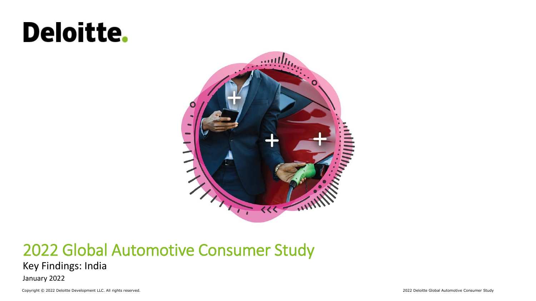# Deloitte.



### 2022 Global Automotive Consumer Study

#### Key Findings: India

January 2022

Copyright © 2022 Deloitte Development LLC. All rights reserved. 2022 Deloitte Global Automotive Consumer Study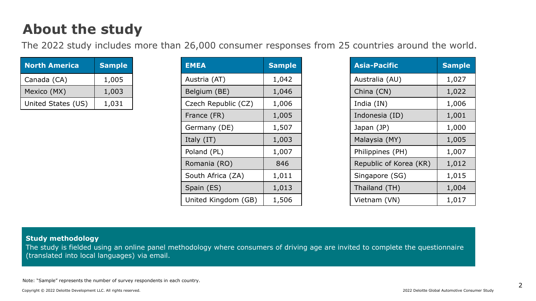### **About the study**

The 2022 study includes more than 26,000 consumer responses from 25 countries around the world.

| <b>North America</b> | <b>Sample</b> |
|----------------------|---------------|
| Canada (CA)          | 1,005         |
| Mexico (MX)          | 1,003         |
| United States (US)   | 1,031         |

| <b>EMEA</b>         | <b>Sample</b> |
|---------------------|---------------|
| Austria (AT)        | 1,042         |
| Belgium (BE)        | 1,046         |
| Czech Republic (CZ) | 1,006         |
| France (FR)         | 1,005         |
| Germany (DE)        | 1,507         |
| Italy (IT)          | 1,003         |
| Poland (PL)         | 1,007         |
| Romania (RO)        | 846           |
| South Africa (ZA)   | 1,011         |
| Spain (ES)          | 1,013         |
| United Kingdom (GB) | 1,506         |

| <b>Asia-Pacific</b>    | <b>Sample</b> |
|------------------------|---------------|
| Australia (AU)         | 1,027         |
| China (CN)             | 1,022         |
| India (IN)             | 1,006         |
| Indonesia (ID)         | 1,001         |
| Japan (JP)             | 1,000         |
| Malaysia (MY)          | 1,005         |
| Philippines (PH)       | 1,007         |
| Republic of Korea (KR) | 1,012         |
| Singapore (SG)         | 1,015         |
| Thailand (TH)          | 1,004         |
| Vietnam (VN)           | 1,017         |

#### **Study methodology**

The study is fielded using an online panel methodology where consumers of driving age are invited to complete the questionnaire (translated into local languages) via email.

Note: "Sample" represents the number of survey respondents in each country.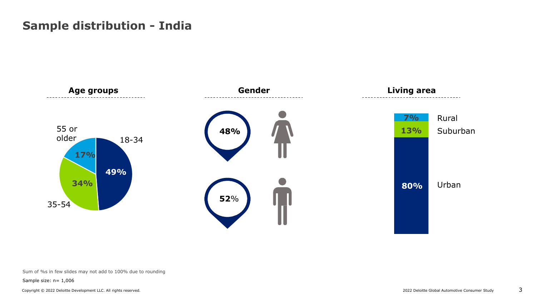#### **Sample distribution - India**



#### Sum of %s in few slides may not add to 100% due to rounding

Sample size: n= 1,006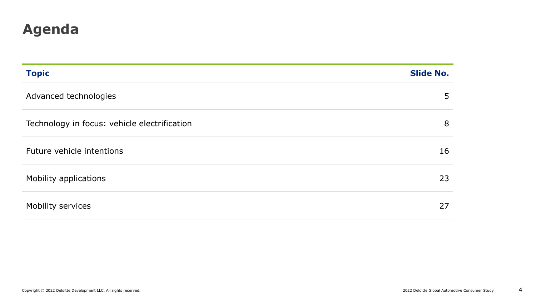### **Agenda**

| <b>Topic</b>                                 | <b>Slide No.</b> |
|----------------------------------------------|------------------|
| Advanced technologies                        | 5                |
| Technology in focus: vehicle electrification | 8                |
| Future vehicle intentions                    | 16               |
| Mobility applications                        | 23               |
| Mobility services                            | 27               |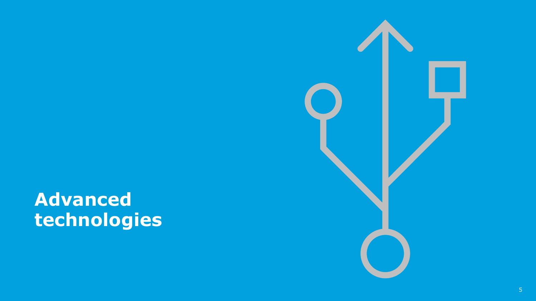# **Advanced technologies**

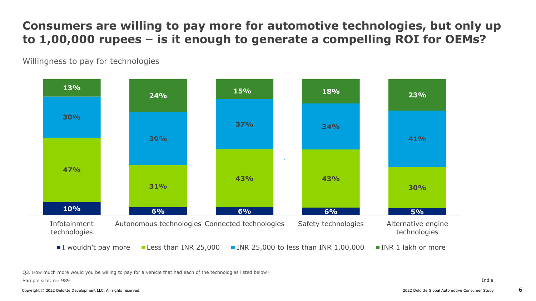#### **Consumers are willing to pay more for automotive technologies, but only up to 1,00,000 rupees – is it enough to generate a compelling ROI for OEMs?**

Willingness to pay for technologies



Q3. How much more would you be willing to pay for a vehicle that had each of the technologies listed below?

Sample size: n= 989

Copyright © 2022 Deloitte Development LLC. All rights reserved. 2022 Development LLC. All rights reserved. 2022 Development LLC. All rights reserved.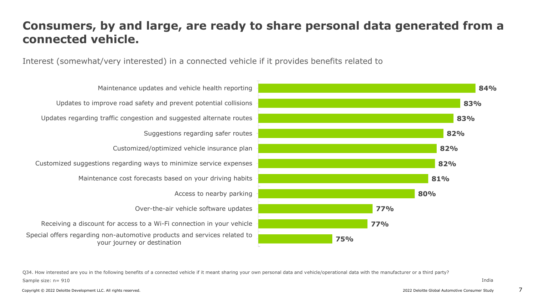#### **Consumers, by and large, are ready to share personal data generated from a connected vehicle.**

Interest (somewhat/very interested) in a connected vehicle if it provides benefits related to



Special offers regarding non-automotive products and services related to your journey or destination Receiving a discount for access to a Wi-Fi connection in your vehicle Over-the-air vehicle software updates Access to nearby parking Maintenance cost forecasts based on your driving habits Customized suggestions regarding ways to minimize service expenses Customized/optimized vehicle insurance plan Suggestions regarding safer routes Updates regarding traffic congestion and suggested alternate routes Updates to improve road safety and prevent potential collisions Maintenance updates and vehicle health reporting

Sample size: n= 910 Q34. How interested are you in the following benefits of a connected vehicle if it meant sharing your own personal data and vehicle/operational data with the manufacturer or a third party?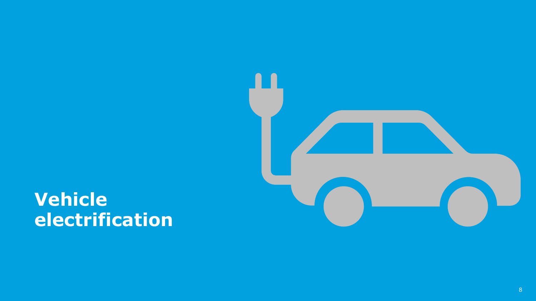

## **Vehicle electrification**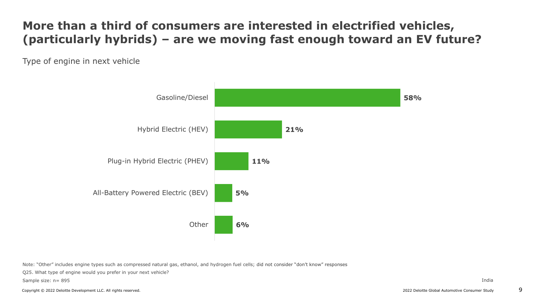### **More than a third of consumers are interested in electrified vehicles, (particularly hybrids) – are we moving fast enough toward an EV future?**

Type of engine in next vehicle



Note: "Other" includes engine types such as compressed natural gas, ethanol, and hydrogen fuel cells; did not consider "don't know" responses

Q25. What type of engine would you prefer in your next vehicle?

Sample size: n= 895

Copyright © 2022 Deloitte Development LLC. All rights reserved. 2022 Deloitte Global Automotive Consumer Study 9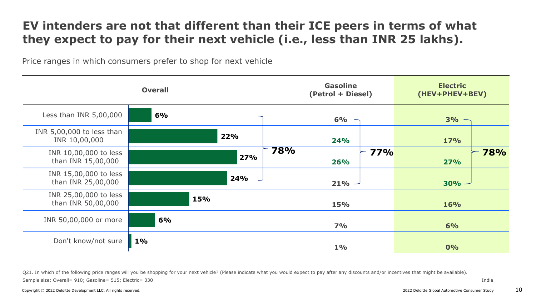#### **EV intenders are not that different than their ICE peers in terms of what they expect to pay for their next vehicle (i.e., less than INR 25 lakhs).**

Price ranges in which consumers prefer to shop for next vehicle

|                                             | <b>Overall</b> | <b>Gasoline</b><br>(Petrol + Diesel) | <b>Electric</b><br>(HEV+PHEV+BEV) |
|---------------------------------------------|----------------|--------------------------------------|-----------------------------------|
| Less than INR 5,00,000                      | 6%             | 6%                                   | $3% -$                            |
| INR 5,00,000 to less than<br>INR 10,00,000  | 22%            | <b>24%</b>                           | <b>17%</b>                        |
| INR 10,00,000 to less<br>than INR 15,00,000 | 27%            | 78%<br><b>77%</b><br><b>26%</b>      | 78%<br>27%                        |
| INR 15,00,000 to less<br>than INR 25,00,000 | 24%            | $21\% -$                             | $30%$ $-$                         |
| INR 25,00,000 to less<br>than INR 50,00,000 | 15%            | <b>15%</b>                           | <b>16%</b>                        |
| INR 50,00,000 or more                       | 6%             | 7%                                   | 6%                                |
| Don't know/not sure                         | $1\%$          | $1\%$                                | 0%                                |

Sample size: Overall= 910; Gasoline= 515; Electric= 330 Q21. In which of the following price ranges will you be shopping for your next vehicle? (Please indicate what you would expect to pay after any discounts and/or incentives that might be available).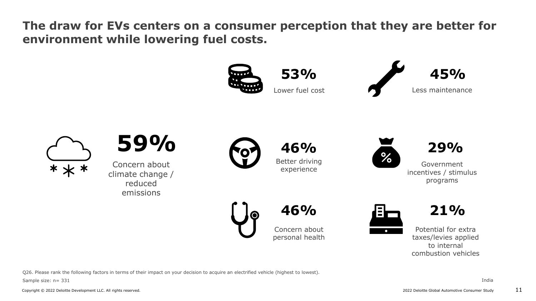**The draw for EVs centers on a consumer perception that they are better for environment while lowering fuel costs.**



Q26. Please rank the following factors in terms of their impact on your decision to acquire an electrified vehicle (highest to lowest).

Sample size: n= 331

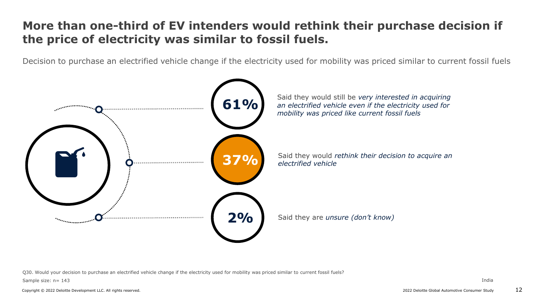#### **More than one-third of EV intenders would rethink their purchase decision if the price of electricity was similar to fossil fuels.**

Decision to purchase an electrified vehicle change if the electricity used for mobility was priced similar to current fossil fuels



Q30. Would your decision to purchase an electrified vehicle change if the electricity used for mobility was priced similar to current fossil fuels?

Sample size: n= 143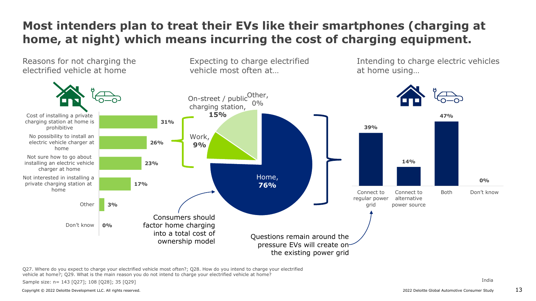### **Most intenders plan to treat their EVs like their smartphones (charging at home, at night) which means incurring the cost of charging equipment.**



Q27. Where do you expect to charge your electrified vehicle most often?; Q28. How do you intend to charge your electrified vehicle at home?; Q29. What is the main reason you do not intend to charge your electrified vehicle at home?

Sample size: n= 143 [Q27]; 108 [Q28]; 35 [Q29]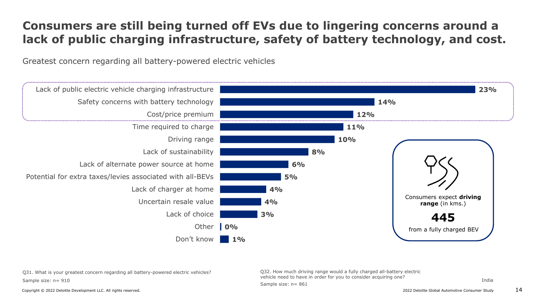### **Consumers are still being turned off EVs due to lingering concerns around a lack of public charging infrastructure, safety of battery technology, and cost.**

Greatest concern regarding all battery-powered electric vehicles



Sample size: n= 861

Sample size: n= 910 Q31. What is your greatest concern regarding all battery-powered electric vehicles?

Q32. How much driving range would a fully charged all-battery electric vehicle need to have in order for you to consider acquiring one?

India

Copyright © 2022 Deloitte Development LLC. All rights reserved. 2022 Development LLC. All rights reserved. 2022 Development LLC. All rights reserved.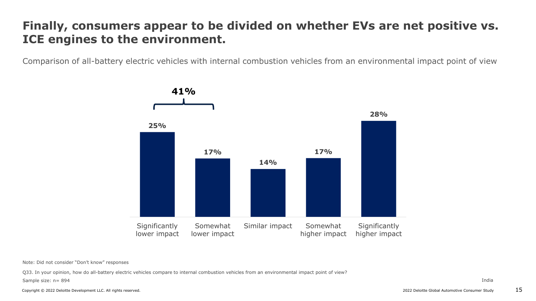#### **Finally, consumers appear to be divided on whether EVs are net positive vs. ICE engines to the environment.**

Comparison of all-battery electric vehicles with internal combustion vehicles from an environmental impact point of view



Note: Did not consider "Don't know" responses

Q33. In your opinion, how do all-battery electric vehicles compare to internal combustion vehicles from an environmental impact point of view?

Sample size: n= 894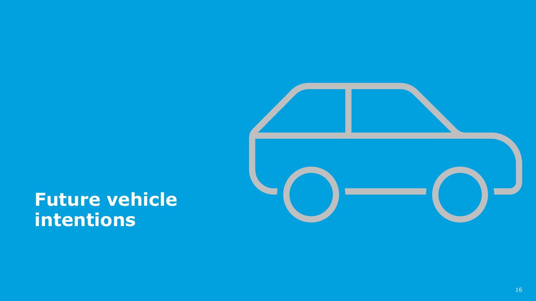

## **Future vehicle intentions**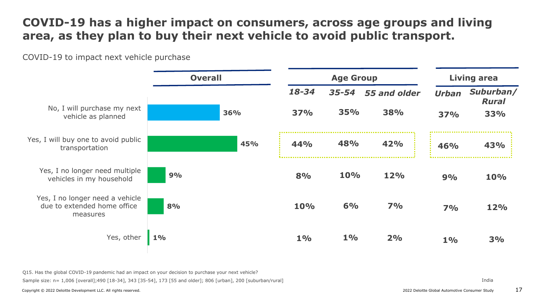#### **COVID-19 has a higher impact on consumers, across age groups and living area, as they plan to buy their next vehicle to avoid public transport.**

COVID-19 to impact next vehicle purchase



Sample size: n= 1,006 [overall];490 [18-34], 343 [35-54], 173 [55 and older]; 806 [urban], 200 [suburban/rural] Q15. Has the global COVID-19 pandemic had an impact on your decision to purchase your next vehicle?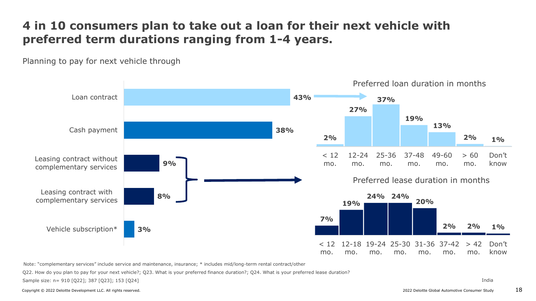#### **4 in 10 consumers plan to take out a loan for their next vehicle with preferred term durations ranging from 1-4 years.**

Planning to pay for next vehicle through



Note: "complementary services" include service and maintenance, insurance; \* includes mid/long-term rental contract/other

Q22. How do you plan to pay for your next vehicle?; Q23. What is your preferred finance duration?; Q24. What is your preferred lease duration?

Sample size: n= 910 [Q22]; 387 [Q23]; 153 [Q24]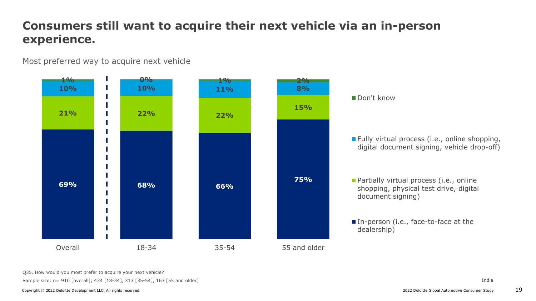### **Consumers still want to acquire their next vehicle via an in-person experience.**

Most preferred way to acquire next vehicle



Sample size: n= 910 [overall]; 434 [18-34], 313 [35-54], 163 [55 and older] Q35. How would you most prefer to acquire your next vehicle?

Copyright © 2022 Deloitte Development LLC. All rights reserved. 2022 Deloitte Global Automotive Consumer Study 19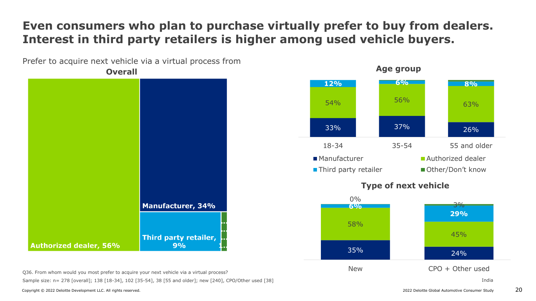#### **Even consumers who plan to purchase virtually prefer to buy from dealers. Interest in third party retailers is higher among used vehicle buyers.**

Prefer to acquire next vehicle via a virtual process from

**Overall Manufacturer, 34%** Third party retailer, **Authorized dealer, 56%**  $9%$ 

Sample size: n= 278 [overall]; 138 [18-34], 102 [35-54], 38 [55 and older]; new [240], CPO/Other used [38] Q36. From whom would you most prefer to acquire your next vehicle via a virtual process?



Copyright © 2022 Deloitte Development LLC. All rights reserved. 2022 Development LLC. All rights reserved. 2022 Development LLC. All rights reserved.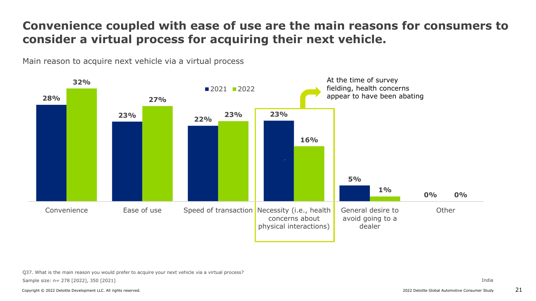#### **Convenience coupled with ease of use are the main reasons for consumers to consider a virtual process for acquiring their next vehicle.**

Main reason to acquire next vehicle via a virtual process



Sample size: n= 278 [2022], 350 [2021] Q37. What is the main reason you would prefer to acquire your next vehicle via a virtual process?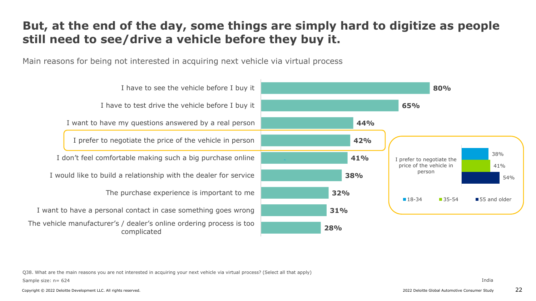#### **But, at the end of the day, some things are simply hard to digitize as people still need to see/drive a vehicle before they buy it.**

Main reasons for being not interested in acquiring next vehicle via virtual process



Sample size: n= 624 Q38. What are the main reasons you are not interested in acquiring your next vehicle via virtual process? (Select all that apply)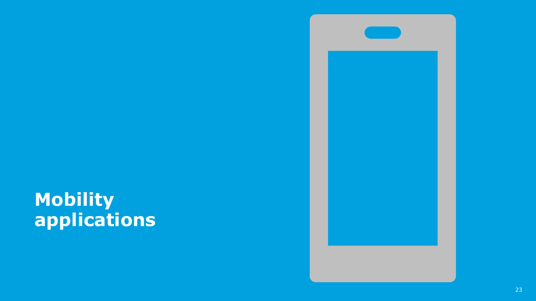## **Mobility applications**

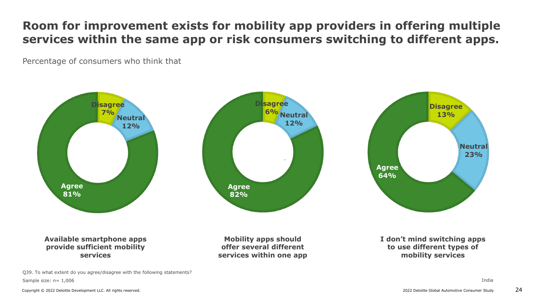#### **Room for improvement exists for mobility app providers in offering multiple services within the same app or risk consumers switching to different apps.**

Percentage of consumers who think that



Sample size: n= 1,006 Q39. To what extent do you agree/disagree with the following statements?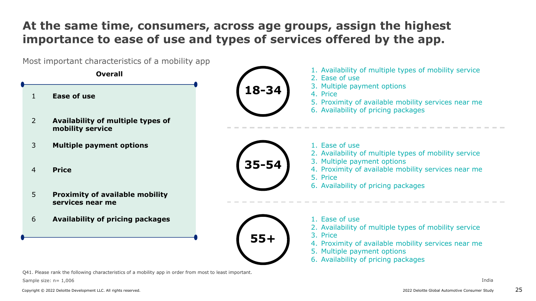### **At the same time, consumers, across age groups, assign the highest importance to ease of use and types of services offered by the app.**

Most important characteristics of a mobility app

**Overall**

- 1 **Ease of use**
- 2 **Availability of multiple types of mobility service**
- 3 **Multiple payment options**
- 4 **Price**
- 5 **Proximity of available mobility services near me**
- 6 **Availability of pricing packages**



- 1. Availability of multiple types of mobility service
- 2. Ease of use
- 3. Multiple payment options
- 4. Price
- 5. Proximity of available mobility services near me
- 6. Availability of pricing packages



- 1. Ease of use
- 2. Availability of multiple types of mobility service
- 3. Multiple payment options
- 4. Proximity of available mobility services near me
- 5. Price
- 6. Availability of pricing packages



- 1. Ease of use
- 2. Availability of multiple types of mobility service
- 3. Price
- 4. Proximity of available mobility services near me
- 5. Multiple payment options
- 6. Availability of pricing packages

Q41. Please rank the following characteristics of a mobility app in order from most to least important.

Sample size: n= 1,006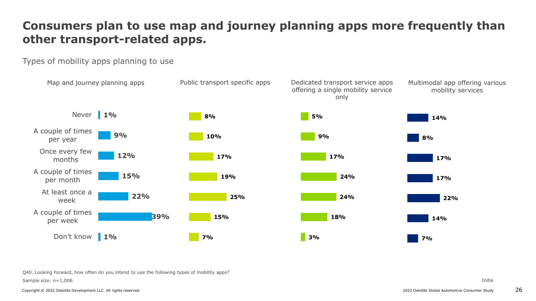### **Consumers plan to use map and journey planning apps more frequently than other transport-related apps.**

Types of mobility apps planning to use



Sample size: n=1,006 Q40. Looking forward, how often do you intend to use the following types of mobility apps?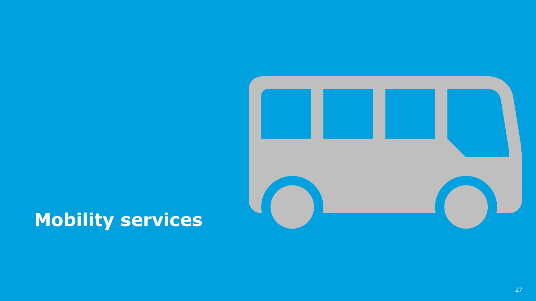

## **Mobility services**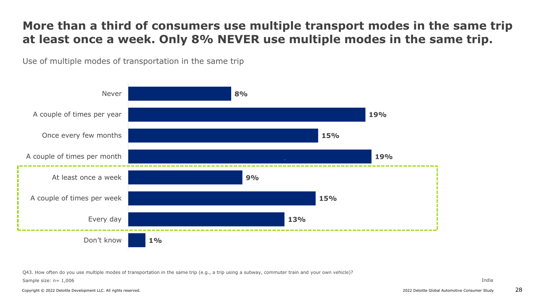#### **More than a third of consumers use multiple transport modes in the same trip at least once a week. Only 8% NEVER use multiple modes in the same trip.**

Use of multiple modes of transportation in the same trip



Q43. How often do you use multiple modes of transportation in the same trip (e.g., a trip using a subway, commuter train and your own vehicle)?

Sample size: n= 1,006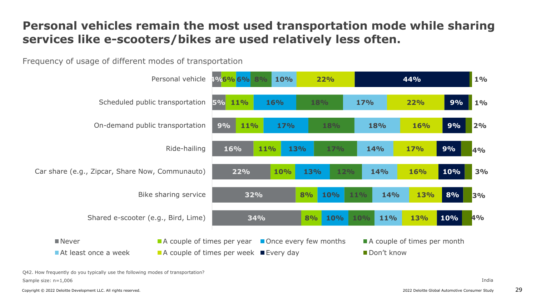#### **Personal vehicles remain the most used transportation mode while sharing services like e-scooters/bikes are used relatively less often.**

Frequency of usage of different modes of transportation



Sample size: n=1,006 Q42. How frequently do you typically use the following modes of transportation?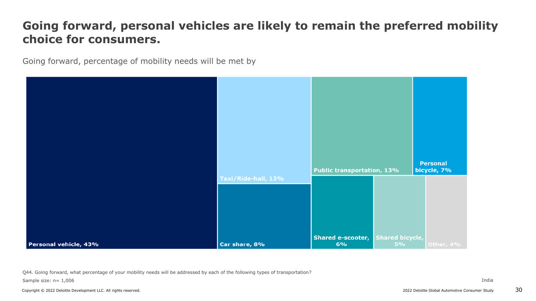#### **Going forward, personal vehicles are likely to remain the preferred mobility choice for consumers.**

Going forward, percentage of mobility needs will be met by



Q44. Going forward, what percentage of your mobility needs will be addressed by each of the following types of transportation?

Sample size: n= 1,006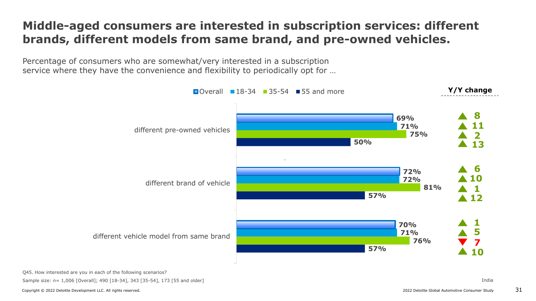#### **Middle-aged consumers are interested in subscription services: different brands, different models from same brand, and pre-owned vehicles.**

Percentage of consumers who are somewhat/very interested in a subscription service where they have the convenience and flexibility to periodically opt for …



Q45. How interested are you in each of the following scenarios?

Sample size: n= 1,006 [Overall]; 490 [18-34], 343 [35-54], 173 [55 and older]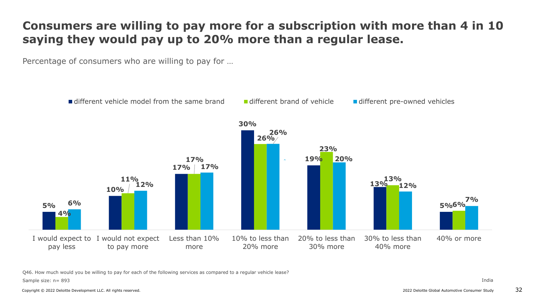#### **Consumers are willing to pay more for a subscription with more than 4 in 10 saying they would pay up to 20% more than a regular lease.**

Percentage of consumers who are willing to pay for …



Q46. How much would you be willing to pay for each of the following services as compared to a regular vehicle lease?

Sample size: n= 893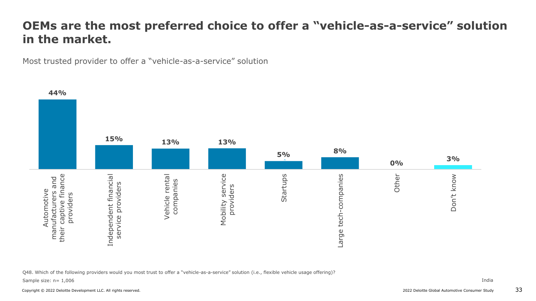#### **OEMs are the most preferred choice to offer a "vehicle-as-a-service" solution in the market.**

Most trusted provider to offer a "vehicle-as-a-service" solution



Q48. Which of the following providers would you most trust to offer a "vehicle-as-a-service" solution (i.e., flexible vehicle usage offering)?

Sample size: n= 1,006